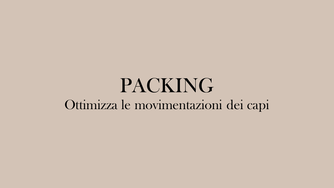## PACKING Ottimizza le movimentazioni dei capi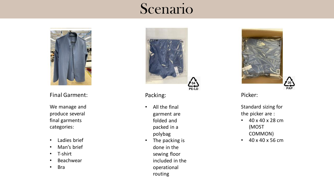### Scenario



#### Final Garment:

We manage and produce several final garments categories:

- Ladies brief
- Man's brief
- T-shirt
- Beachwear
- Bra



Packing:

- All the final garment are folded and packed in a polybag
- The packing is done in the sewing floor included in the operational routing



Picker:

Standard sizing for the picker are :

- 40 x 40 x 28 cm (MOST COMMON)
- 40 x 40 x 56 cm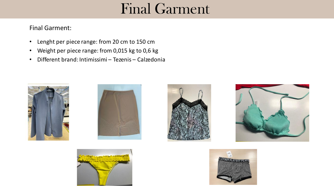## Final Garment

#### Final Garment:

- Lenght per piece range: from 20 cm to 150 cm
- Weight per piece range: from 0,015 kg to 0,6 kg
- Different brand: Intimissimi Tezenis Calzedonia











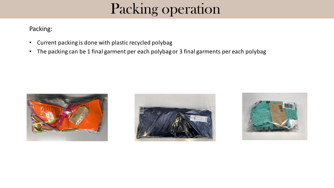## Packing operation

#### Packing:

- Current packing is done with plastic recycled polybag
- The packing can be 1 final garment per each polybagor 3 final garments per each polybag





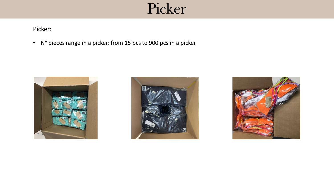## Picker

#### Picker:

• N° pieces range in a picker: from 15 pcs to 900 pcs in a picker





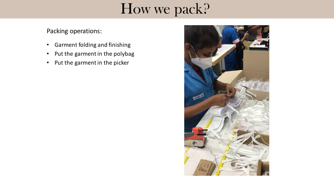## How we pack?

Packing operations:

- Garment folding and finishing
- Put the garment in the polybag
- Put the garment in the picker

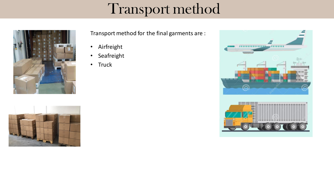## Transport method





Transport method for the final garments are :

- Airfreight
- Seafreight
- Truck

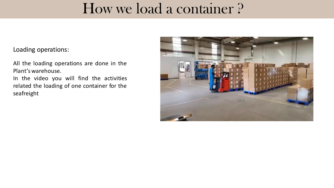## How we load a container ?

#### Loading operations:

All the loading operations are done in the Plant's warehouse.

In the video you will find the activities related the loading of one container for the seafreight

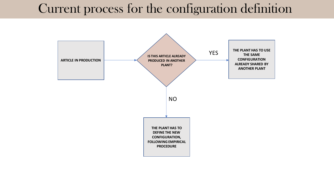### Current process for the configuration definition

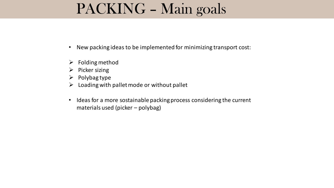## PACKING – Main goals

- New packing ideas to be implemented for minimizing transport cost:
- $\triangleright$  Folding method
- $\triangleright$  Picker sizing
- $\triangleright$  Polybag type
- $\triangleright$  Loading with pallet mode or without pallet
- Ideas for a more sostainable packing process considering the current materials used (picker – polybag)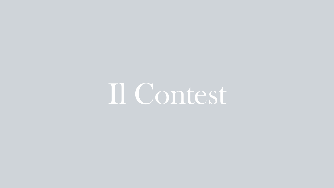Il Contest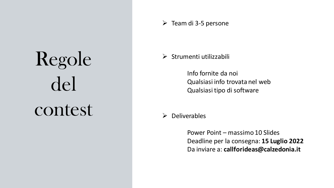# Regole del contest

 $\triangleright$  Team di 3-5 persone

 $\triangleright$  Strumenti utilizzabili

Info fornite da noi Qualsiasi info trovata nel web Qualsiasi tipo di software

 $\triangleright$  Deliverables

Power Point – massimo 10 Slides Deadline per la consegna: **15 Luglio 2022** Da inviare a: **callforideas@calzedonia.it**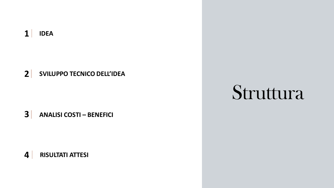#### $1$ **IDEA**

 $2<sup>1</sup>$ **SVILUPPO TECNICO DELL'IDEA** 

 $3<sup>1</sup>$ **ANALISI COSTI - BENEFICI** 

 $\overline{\mathbf{4}}$ **RISULTATI ATTESI** 

## Struttura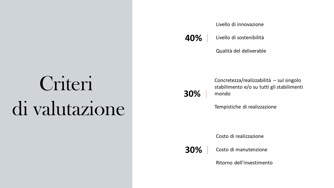# Criteri di valutazione

Livello di innovazione

Livello di sostenibilità **40%**

**30%**

Qualità del deliverable

Concretezza/realizzabilità – sul singolo stabilimento e/o su tutti gli stabilimenti mondo

Tempistiche di realizzazione

Costo di realizzazione

Costo di manutenzione **30%**

Ritorno dell'investimento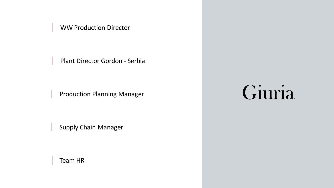WW Production Director

Plant Director Gordon - Serbia

Production Planning Manager

Supply Chain Manager

Team HR

## Giuria